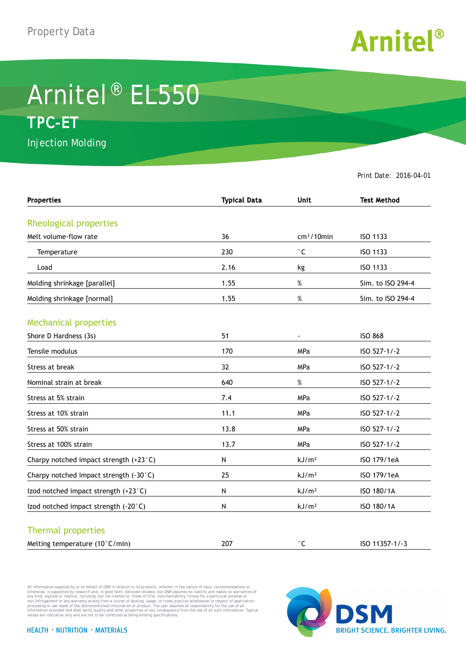

## Arnitel® EL550 **TPC-ET**

Injection Molding

Print Date: 2016-04-01

| <b>Properties</b>                      | <b>Typical Data</b> | <b>Unit</b>       | <b>Test Method</b> |
|----------------------------------------|---------------------|-------------------|--------------------|
|                                        |                     |                   |                    |
| Rheological properties                 |                     |                   |                    |
| Melt volume-flow rate                  | 36                  | $cm3/10$ min      | ISO 1133           |
| Temperature                            | 230                 | $^\circ$ C        | ISO 1133           |
| Load                                   | 2.16                | kg                | ISO 1133           |
| Molding shrinkage [parallel]           | 1.55                | $\%$              | Sim. to ISO 294-4  |
| Molding shrinkage [normal]             | 1.55                | $\%$              | Sim. to ISO 294-4  |
| <b>Mechanical properties</b>           |                     |                   |                    |
| Shore D Hardness (3s)                  | 51                  | $\blacksquare$    | <b>ISO 868</b>     |
| Tensile modulus                        | 170                 | MPa               | ISO 527-1/-2       |
| Stress at break                        | 32                  | MPa               | ISO 527-1/-2       |
| Nominal strain at break                | 640                 | $\%$              | ISO 527-1/-2       |
| Stress at 5% strain                    | 7.4                 | <b>MPa</b>        | ISO 527-1/-2       |
| Stress at 10% strain                   | 11.1                | <b>MPa</b>        | ISO 527-1/-2       |
| Stress at 50% strain                   | 13.8                | MPa               | ISO 527-1/-2       |
| Stress at 100% strain                  | 13.7                | MPa               | ISO 527-1/-2       |
| Charpy notched impact strength (+23°C) | N                   | kJ/m <sup>2</sup> | ISO 179/1eA        |
| Charpy notched impact strength (-30°C) | 25                  | kJ/m <sup>2</sup> | ISO 179/1eA        |
| Izod notched impact strength (+23°C)   | N                   | kJ/m <sup>2</sup> | ISO 180/1A         |
| Izod notched impact strength (-20°C)   | N                   | kJ/m <sup>2</sup> | ISO 180/1A         |
| <b>Thermal properties</b>              |                     |                   |                    |
| Melting temperature (10°C/min)         | 207                 | $^{\circ}$ C      | ISO 11357-1/-3     |

All information supplied by or on behalf of DSM in relation to its products, whether in the nature of data, recommendations or others in the matter of the order or the matter of the commendations or others in any kind, exp